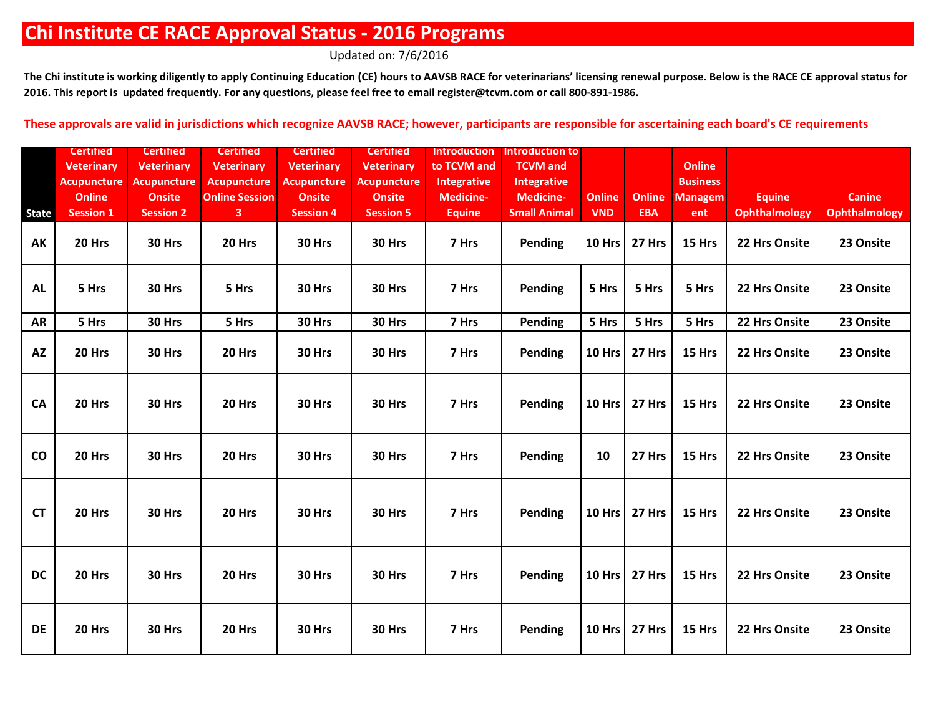Updated on: 7/6/2016

The Chi institute is working diligently to apply Continuing Education (CE) hours to AAVSB RACE for veterinarians' licensing renewal purpose. Below is the RACE CE approval status for **2016. This report is updated frequently. For any questions, please feel free to email register@tcvm.com or call 800-891-1986.**

|              | <b>Certified</b>   | <b>Certified</b>   | Certified               | <b>Certified</b>   | <b>Certified</b>   | <b>Introduction</b> | Introduction to     |               |               |                 |                      |                      |
|--------------|--------------------|--------------------|-------------------------|--------------------|--------------------|---------------------|---------------------|---------------|---------------|-----------------|----------------------|----------------------|
|              | <b>Veterinary</b>  | <b>Veterinary</b>  | <b>Veterinary</b>       | <b>Veterinary</b>  | <b>Veterinary</b>  | to TCVM and         | <b>TCVM</b> and     |               |               | <b>Online</b>   |                      |                      |
|              | <b>Acupuncture</b> | <b>Acupuncture</b> | <b>Acupuncture</b>      | <b>Acupuncture</b> | <b>Acupuncture</b> | Integrative         | <b>Integrative</b>  |               |               | <b>Business</b> |                      |                      |
|              | <b>Online</b>      | <b>Onsite</b>      | <b>Online Session</b>   | <b>Onsite</b>      | <b>Onsite</b>      | <b>Medicine-</b>    | <b>Medicine-</b>    | <b>Online</b> | <b>Online</b> | <b>Managem</b>  | <b>Equine</b>        | <b>Canine</b>        |
| <b>State</b> | <b>Session 1</b>   | <b>Session 2</b>   | $\overline{\mathbf{3}}$ | <b>Session 4</b>   | <b>Session 5</b>   | <b>Equine</b>       | <b>Small Animal</b> | <b>VND</b>    | <b>EBA</b>    | ent             | <b>Ophthalmology</b> | <b>Ophthalmology</b> |
| AK           | 20 Hrs             | 30 Hrs             | 20 Hrs                  | 30 Hrs             | 30 Hrs             | 7 Hrs               | <b>Pending</b>      | 10 Hrs        | 27 Hrs        | 15 Hrs          | 22 Hrs Onsite        | 23 Onsite            |
| <b>AL</b>    | 5 Hrs              | 30 Hrs             | 5 Hrs                   | 30 Hrs             | 30 Hrs             | 7 Hrs               | <b>Pending</b>      | 5 Hrs         | 5 Hrs         | 5 Hrs           | 22 Hrs Onsite        | 23 Onsite            |
| <b>AR</b>    | 5 Hrs              | 30 Hrs             | 5 Hrs                   | 30 Hrs             | 30 Hrs             | 7 Hrs               | Pending             | 5 Hrs         | 5 Hrs         | 5 Hrs           | 22 Hrs Onsite        | 23 Onsite            |
| <b>AZ</b>    | 20 Hrs             | 30 Hrs             | 20 Hrs                  | 30 Hrs             | 30 Hrs             | 7 Hrs               | Pending             | 10 Hrs        | 27 Hrs        | 15 Hrs          | 22 Hrs Onsite        | 23 Onsite            |
| <b>CA</b>    | 20 Hrs             | 30 Hrs             | 20 Hrs                  | 30 Hrs             | 30 Hrs             | 7 Hrs               | <b>Pending</b>      | 10 Hrs        | 27 Hrs        | 15 Hrs          | 22 Hrs Onsite        | 23 Onsite            |
| co           | 20 Hrs             | 30 Hrs             | 20 Hrs                  | 30 Hrs             | 30 Hrs             | 7 Hrs               | Pending             | 10            | 27 Hrs        | 15 Hrs          | 22 Hrs Onsite        | 23 Onsite            |
| <b>CT</b>    | 20 Hrs             | 30 Hrs             | 20 Hrs                  | 30 Hrs             | 30 Hrs             | 7 Hrs               | Pending             | 10 Hrs        | 27 Hrs        | 15 Hrs          | 22 Hrs Onsite        | 23 Onsite            |
| <b>DC</b>    | 20 Hrs             | 30 Hrs             | 20 Hrs                  | 30 Hrs             | 30 Hrs             | 7 Hrs               | <b>Pending</b>      | 10 Hrs        | 27 Hrs        | 15 Hrs          | 22 Hrs Onsite        | 23 Onsite            |
| <b>DE</b>    | 20 Hrs             | 30 Hrs             | 20 Hrs                  | 30 Hrs             | 30 Hrs             | 7 Hrs               | <b>Pending</b>      | 10 Hrs        | 27 Hrs        | 15 Hrs          | 22 Hrs Onsite        | 23 Onsite            |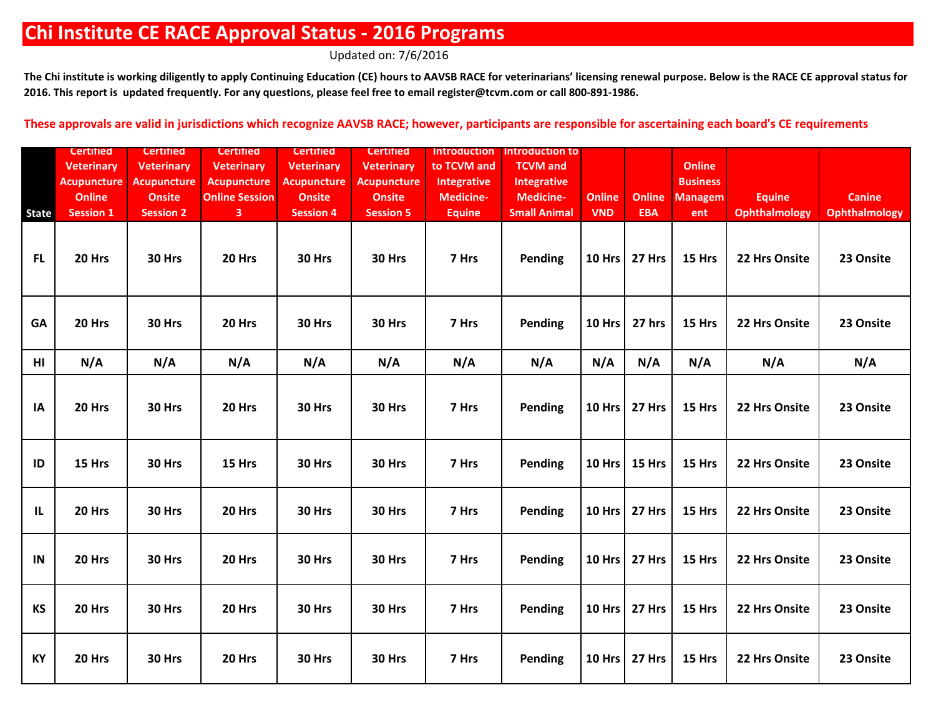Updated on: 7/6/2016

The Chi institute is working diligently to apply Continuing Education (CE) hours to AAVSB RACE for veterinarians' licensing renewal purpose. Below is the RACE CE approval status for **2016. This report is updated frequently. For any questions, please feel free to email register@tcvm.com or call 800-891-1986.**

|              | <b>Certified</b>   | <b>Certified</b>   | <b>Certified</b>      | <b>Certified</b>   | <b>Certified</b>   | <b>Introduction</b> | Introduction to     |               |               |                 |                      |                      |
|--------------|--------------------|--------------------|-----------------------|--------------------|--------------------|---------------------|---------------------|---------------|---------------|-----------------|----------------------|----------------------|
|              | <b>Veterinary</b>  | <b>Veterinary</b>  | <b>Veterinary</b>     | <b>Veterinary</b>  | <b>Veterinary</b>  | to TCVM and         | <b>TCVM</b> and     |               |               | <b>Online</b>   |                      |                      |
|              | <b>Acupuncture</b> | <b>Acupuncture</b> | <b>Acupuncture</b>    | <b>Acupuncture</b> | <b>Acupuncture</b> | <b>Integrative</b>  | <b>Integrative</b>  |               |               | <b>Business</b> |                      |                      |
|              | <b>Online</b>      | <b>Onsite</b>      | <b>Online Session</b> | <b>Onsite</b>      | <b>Onsite</b>      | <b>Medicine-</b>    | <b>Medicine-</b>    | <b>Online</b> | <b>Online</b> | <b>Managem</b>  | <b>Equine</b>        | <b>Canine</b>        |
| <b>State</b> | <b>Session 1</b>   | <b>Session 2</b>   | 3 <sup>1</sup>        | <b>Session 4</b>   | <b>Session 5</b>   | <b>Equine</b>       | <b>Small Animal</b> | <b>VND</b>    | <b>EBA</b>    | ent             | <b>Ophthalmology</b> | <b>Ophthalmology</b> |
| <b>FL</b>    | 20 Hrs             | 30 Hrs             | 20 Hrs                | 30 Hrs             | 30 Hrs             | 7 Hrs               | Pending             | 10 Hrs        | 27 Hrs        | 15 Hrs          | 22 Hrs Onsite        | 23 Onsite            |
| GA           | 20 Hrs             | 30 Hrs             | 20 Hrs                | 30 Hrs             | 30 Hrs             | 7 Hrs               | <b>Pending</b>      | <b>10 Hrs</b> | 27 hrs        | 15 Hrs          | 22 Hrs Onsite        | 23 Onsite            |
| HI           | N/A                | N/A                | N/A                   | N/A                | N/A                | N/A                 | N/A                 | N/A           | N/A           | N/A             | N/A                  | N/A                  |
| IA           | 20 Hrs             | 30 Hrs             | 20 Hrs                | 30 Hrs             | 30 Hrs             | 7 Hrs               | <b>Pending</b>      | 10 Hrs        | 27 Hrs        | 15 Hrs          | 22 Hrs Onsite        | 23 Onsite            |
| ID           | 15 Hrs             | 30 Hrs             | 15 Hrs                | 30 Hrs             | 30 Hrs             | 7 Hrs               | Pending             | 10 Hrs        | 15 Hrs        | 15 Hrs          | 22 Hrs Onsite        | 23 Onsite            |
| $\mathbf{L}$ | 20 Hrs             | 30 Hrs             | 20 Hrs                | 30 Hrs             | 30 Hrs             | 7 Hrs               | Pending             | 10 Hrs        | 27 Hrs        | 15 Hrs          | 22 Hrs Onsite        | 23 Onsite            |
| IN           | 20 Hrs             | 30 Hrs             | 20 Hrs                | 30 Hrs             | 30 Hrs             | 7 Hrs               | <b>Pending</b>      | 10 Hrs        | 27 Hrs        | 15 Hrs          | 22 Hrs Onsite        | 23 Onsite            |
| <b>KS</b>    | 20 Hrs             | 30 Hrs             | 20 Hrs                | 30 Hrs             | 30 Hrs             | 7 Hrs               | <b>Pending</b>      | 10 Hrs        | 27 Hrs        | 15 Hrs          | 22 Hrs Onsite        | 23 Onsite            |
| <b>KY</b>    | 20 Hrs             | 30 Hrs             | 20 Hrs                | 30 Hrs             | 30 Hrs             | 7 Hrs               | Pending             | 10 Hrs        | 27 Hrs        | 15 Hrs          | 22 Hrs Onsite        | 23 Onsite            |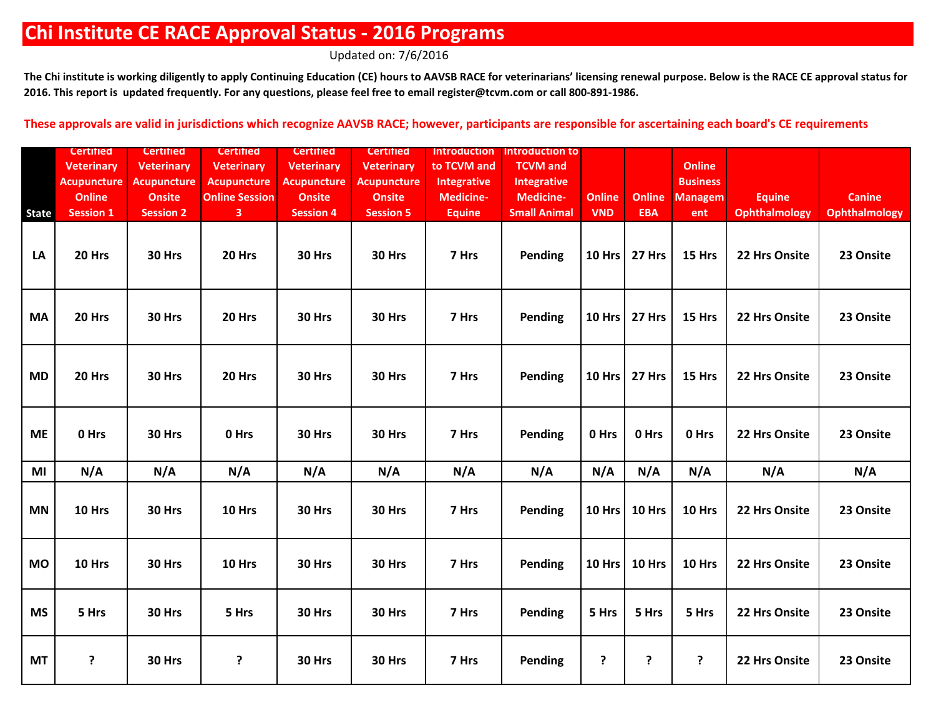Updated on: 7/6/2016

The Chi institute is working diligently to apply Continuing Education (CE) hours to AAVSB RACE for veterinarians' licensing renewal purpose. Below is the RACE CE approval status for **2016. This report is updated frequently. For any questions, please feel free to email register@tcvm.com or call 800-891-1986.**

|              | <b>Certified</b>   | <b>Certified</b>   | <b>Certified</b>      | <b>Certified</b>   | <b>Certified</b>   | <b>Introduction</b> | <b>Introduction to</b> |               |               |                 |               |                      |
|--------------|--------------------|--------------------|-----------------------|--------------------|--------------------|---------------------|------------------------|---------------|---------------|-----------------|---------------|----------------------|
|              | <b>Veterinary</b>  | <b>Veterinary</b>  | <b>Veterinary</b>     | <b>Veterinary</b>  | <b>Veterinary</b>  | to TCVM and         | <b>TCVM</b> and        |               |               | <b>Online</b>   |               |                      |
|              | <b>Acupuncture</b> | <b>Acupuncture</b> | <b>Acupuncture</b>    | <b>Acupuncture</b> | <b>Acupuncture</b> | <b>Integrative</b>  | <b>Integrative</b>     |               |               | <b>Business</b> |               |                      |
|              | <b>Online</b>      | <b>Onsite</b>      | <b>Online Session</b> | <b>Onsite</b>      | <b>Onsite</b>      | Medicine-           | <b>Medicine-</b>       | <b>Online</b> | <b>Online</b> | <b>Managem</b>  | <b>Equine</b> | <b>Canine</b>        |
| <b>State</b> | <b>Session 1</b>   | <b>Session 2</b>   | 3 <sup>7</sup>        | <b>Session 4</b>   | <b>Session 5</b>   | <b>Equine</b>       | <b>Small Animal</b>    | <b>VND</b>    | <b>EBA</b>    | ent             | Ophthalmology | <b>Ophthalmology</b> |
| LA           | 20 Hrs             | 30 Hrs             | 20 Hrs                | 30 Hrs             | 30 Hrs             | 7 Hrs               | Pending                | 10 Hrs        | 27 Hrs        | 15 Hrs          | 22 Hrs Onsite | 23 Onsite            |
| <b>MA</b>    | 20 Hrs             | <b>30 Hrs</b>      | 20 Hrs                | 30 Hrs             | <b>30 Hrs</b>      | 7 Hrs               | <b>Pending</b>         | 10 Hrs        | 27 Hrs        | 15 Hrs          | 22 Hrs Onsite | 23 Onsite            |
| <b>MD</b>    | 20 Hrs             | 30 Hrs             | 20 Hrs                | 30 Hrs             | 30 Hrs             | 7 Hrs               | <b>Pending</b>         | <b>10 Hrs</b> | 27 Hrs        | 15 Hrs          | 22 Hrs Onsite | 23 Onsite            |
| <b>ME</b>    | 0 Hrs              | 30 Hrs             | 0 Hrs                 | 30 Hrs             | 30 Hrs             | 7 Hrs               | Pending                | 0 Hrs         | 0 Hrs         | 0 Hrs           | 22 Hrs Onsite | 23 Onsite            |
| MI           | N/A                | N/A                | N/A                   | N/A                | N/A                | N/A                 | N/A                    | N/A           | N/A           | N/A             | N/A           | N/A                  |
| <b>MN</b>    | 10 Hrs             | 30 Hrs             | 10 Hrs                | 30 Hrs             | 30 Hrs             | 7 Hrs               | Pending                | 10 Hrs        | 10 Hrs        | 10 Hrs          | 22 Hrs Onsite | 23 Onsite            |
| <b>MO</b>    | 10 Hrs             | 30 Hrs             | 10 Hrs                | 30 Hrs             | 30 Hrs             | 7 Hrs               | Pending                | 10 Hrs        | 10 Hrs        | 10 Hrs          | 22 Hrs Onsite | 23 Onsite            |
| <b>MS</b>    | 5 Hrs              | 30 Hrs             | 5 Hrs                 | 30 Hrs             | 30 Hrs             | 7 Hrs               | Pending                | 5 Hrs         | 5 Hrs         | 5 Hrs           | 22 Hrs Onsite | 23 Onsite            |
| <b>MT</b>    | Ś.                 | 30 Hrs             | ?                     | 30 Hrs             | 30 Hrs             | 7 Hrs               | <b>Pending</b>         | ?             | ?             | ŗ               | 22 Hrs Onsite | 23 Onsite            |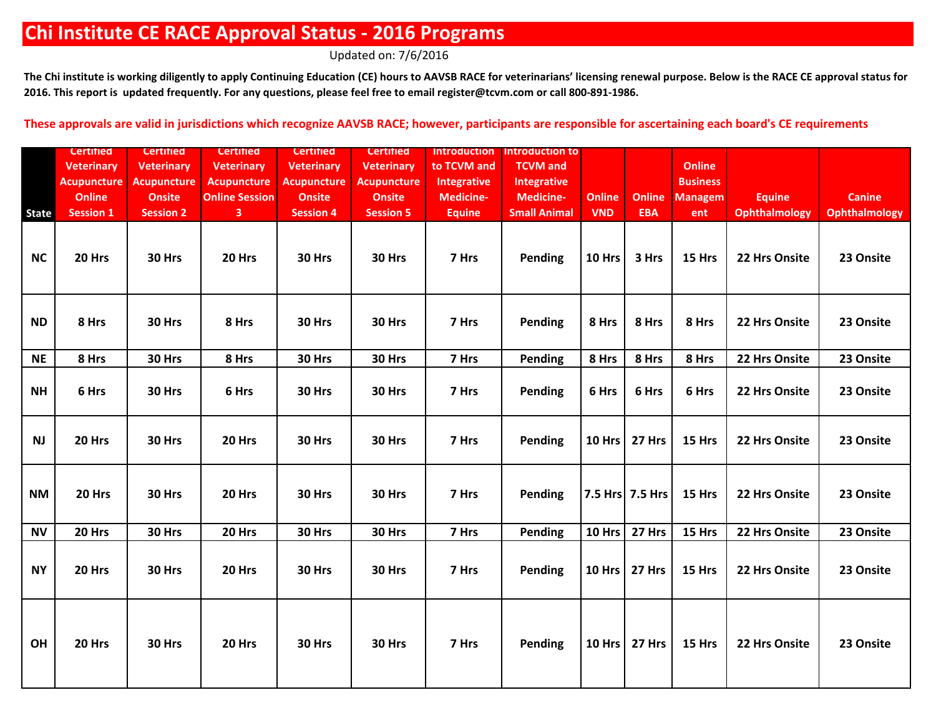Updated on: 7/6/2016

The Chi institute is working diligently to apply Continuing Education (CE) hours to AAVSB RACE for veterinarians' licensing renewal purpose. Below is the RACE CE approval status for **2016. This report is updated frequently. For any questions, please feel free to email register@tcvm.com or call 800-891-1986.**

|              | <b>Certified</b>   | <b>Certified</b>   | <b>Certified</b>      | <b>Certified</b>   | <b>Certified</b>   | <b>Introduction</b> | <b>Introduction to</b> |               |                 |                 |                      |                      |
|--------------|--------------------|--------------------|-----------------------|--------------------|--------------------|---------------------|------------------------|---------------|-----------------|-----------------|----------------------|----------------------|
|              | <b>Veterinary</b>  | <b>Veterinary</b>  | <b>Veterinary</b>     | <b>Veterinary</b>  | <b>Veterinary</b>  | to TCVM and         | <b>TCVM</b> and        |               |                 | <b>Online</b>   |                      |                      |
|              | <b>Acupuncture</b> | <b>Acupuncture</b> | <b>Acupuncture</b>    | <b>Acupuncture</b> | <b>Acupuncture</b> | Integrative         | <b>Integrative</b>     |               |                 | <b>Business</b> |                      |                      |
|              | <b>Online</b>      | <b>Onsite</b>      | <b>Online Session</b> | <b>Onsite</b>      | <b>Onsite</b>      | <b>Medicine-</b>    | <b>Medicine-</b>       | <b>Online</b> | <b>Online</b>   | <b>Managem</b>  | <b>Equine</b>        | <b>Canine</b>        |
| <b>State</b> | <b>Session 1</b>   | <b>Session 2</b>   | 3 <sup>7</sup>        | <b>Session 4</b>   | <b>Session 5</b>   | <b>Equine</b>       | <b>Small Animal</b>    | <b>VND</b>    | <b>EBA</b>      | ent             | <b>Ophthalmology</b> | <b>Ophthalmology</b> |
| <b>NC</b>    | 20 Hrs             | 30 Hrs             | 20 Hrs                | 30 Hrs             | 30 Hrs             | 7 Hrs               | Pending                | <b>10 Hrs</b> | 3 Hrs           | 15 Hrs          | 22 Hrs Onsite        | 23 Onsite            |
| <b>ND</b>    | 8 Hrs              | 30 Hrs             | 8 Hrs                 | 30 Hrs             | 30 Hrs             | 7 Hrs               | Pending                | 8 Hrs         | 8 Hrs           | 8 Hrs           | 22 Hrs Onsite        | 23 Onsite            |
| <b>NE</b>    | 8 Hrs              | 30 Hrs             | 8 Hrs                 | 30 Hrs             | 30 Hrs             | 7 Hrs               | Pending                | 8 Hrs         | 8 Hrs           | 8 Hrs           | 22 Hrs Onsite        | 23 Onsite            |
| <b>NH</b>    | 6 Hrs              | 30 Hrs             | 6 Hrs                 | 30 Hrs             | 30 Hrs             | 7 Hrs               | Pending                | 6 Hrs         | 6 Hrs           | 6 Hrs           | 22 Hrs Onsite        | 23 Onsite            |
| <b>NJ</b>    | 20 Hrs             | 30 Hrs             | 20 Hrs                | 30 Hrs             | 30 Hrs             | 7 Hrs               | Pending                | 10 Hrs        | 27 Hrs          | 15 Hrs          | 22 Hrs Onsite        | 23 Onsite            |
| <b>NM</b>    | 20 Hrs             | 30 Hrs             | 20 Hrs                | 30 Hrs             | 30 Hrs             | 7 Hrs               | Pending                |               | 7.5 Hrs 7.5 Hrs | 15 Hrs          | 22 Hrs Onsite        | 23 Onsite            |
| <b>NV</b>    | 20 Hrs             | 30 Hrs             | 20 Hrs                | 30 Hrs             | 30 Hrs             | 7 Hrs               | Pending                | 10 Hrs        | 27 Hrs          | 15 Hrs          | 22 Hrs Onsite        | 23 Onsite            |
| <b>NY</b>    | 20 Hrs             | 30 Hrs             | 20 Hrs                | 30 Hrs             | 30 Hrs             | 7 Hrs               | Pending                |               | 10 Hrs   27 Hrs | 15 Hrs          | 22 Hrs Onsite        | 23 Onsite            |
| OH           | 20 Hrs             | 30 Hrs             | 20 Hrs                | 30 Hrs             | 30 Hrs             | 7 Hrs               | Pending                |               | 10 Hrs   27 Hrs | 15 Hrs          | 22 Hrs Onsite        | 23 Onsite            |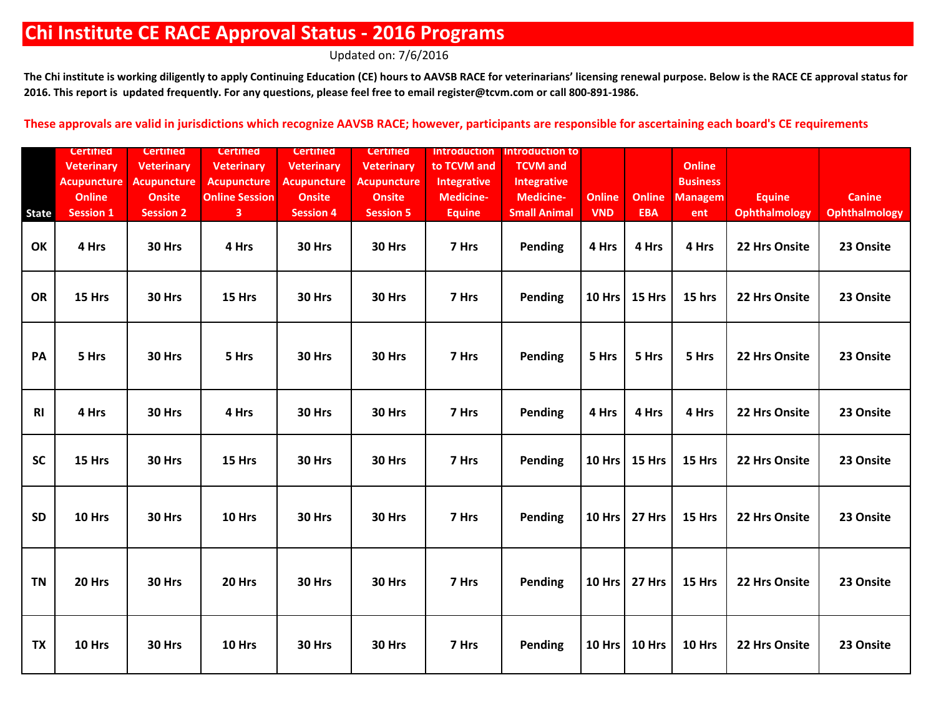Updated on: 7/6/2016

The Chi institute is working diligently to apply Continuing Education (CE) hours to AAVSB RACE for veterinarians' licensing renewal purpose. Below is the RACE CE approval status for **2016. This report is updated frequently. For any questions, please feel free to email register@tcvm.com or call 800-891-1986.**

|                | <b>Certified</b>   | <b>Certified</b>   | <b>Certified</b>      | <b>Certified</b>   | <b>Certified</b>   | <b>Introduction</b> | Introduction to     |               |                 |                 |                      |                      |
|----------------|--------------------|--------------------|-----------------------|--------------------|--------------------|---------------------|---------------------|---------------|-----------------|-----------------|----------------------|----------------------|
|                | <b>Veterinary</b>  | <b>Veterinary</b>  | <b>Veterinary</b>     | <b>Veterinary</b>  | <b>Veterinary</b>  | to TCVM and         | <b>TCVM</b> and     |               |                 | <b>Online</b>   |                      |                      |
|                | <b>Acupuncture</b> | <b>Acupuncture</b> | <b>Acupuncture</b>    | <b>Acupuncture</b> | <b>Acupuncture</b> | <b>Integrative</b>  | <b>Integrative</b>  |               |                 | <b>Business</b> |                      |                      |
|                | <b>Online</b>      | <b>Onsite</b>      | <b>Online Session</b> | <b>Onsite</b>      | <b>Onsite</b>      | <b>Medicine-</b>    | <b>Medicine-</b>    | <b>Online</b> | <b>Online</b>   | <b>Managem</b>  | <b>Equine</b>        | <b>Canine</b>        |
| State          | <b>Session 1</b>   | <b>Session 2</b>   | $\mathbf{3}$          | <b>Session 4</b>   | <b>Session 5</b>   | <b>Equine</b>       | <b>Small Animal</b> | <b>VND</b>    | <b>EBA</b>      | ent             | <b>Ophthalmology</b> | <b>Ophthalmology</b> |
| OK             | 4 Hrs              | 30 Hrs             | 4 Hrs                 | 30 Hrs             | 30 Hrs             | 7 Hrs               | Pending             | 4 Hrs         | 4 Hrs           | 4 Hrs           | 22 Hrs Onsite        | 23 Onsite            |
| <b>OR</b>      | 15 Hrs             | 30 Hrs             | 15 Hrs                | 30 Hrs             | 30 Hrs             | 7 Hrs               | Pending             |               | 10 Hrs   15 Hrs | 15 hrs          | 22 Hrs Onsite        | 23 Onsite            |
| PA             | 5 Hrs              | 30 Hrs             | 5 Hrs                 | 30 Hrs             | 30 Hrs             | 7 Hrs               | Pending             | 5 Hrs         | 5 Hrs           | 5 Hrs           | 22 Hrs Onsite        | 23 Onsite            |
| R <sub>l</sub> | 4 Hrs              | 30 Hrs             | 4 Hrs                 | 30 Hrs             | 30 Hrs             | 7 Hrs               | Pending             | 4 Hrs         | 4 Hrs           | 4 Hrs           | 22 Hrs Onsite        | 23 Onsite            |
| <b>SC</b>      | 15 Hrs             | 30 Hrs             | 15 Hrs                | 30 Hrs             | 30 Hrs             | 7 Hrs               | Pending             |               | 10 Hrs   15 Hrs | 15 Hrs          | 22 Hrs Onsite        | 23 Onsite            |
| <b>SD</b>      | 10 Hrs             | 30 Hrs             | 10 Hrs                | 30 Hrs             | 30 Hrs             | 7 Hrs               | Pending             |               | 10 Hrs 27 Hrs   | 15 Hrs          | 22 Hrs Onsite        | 23 Onsite            |
| <b>TN</b>      | 20 Hrs             | 30 Hrs             | 20 Hrs                | 30 Hrs             | 30 Hrs             | 7 Hrs               | Pending             |               | 10 Hrs   27 Hrs | 15 Hrs          | 22 Hrs Onsite        | 23 Onsite            |
| <b>TX</b>      | 10 Hrs             | 30 Hrs             | 10 Hrs                | 30 Hrs             | 30 Hrs             | 7 Hrs               | Pending             |               | 10 Hrs   10 Hrs | 10 Hrs          | 22 Hrs Onsite        | 23 Onsite            |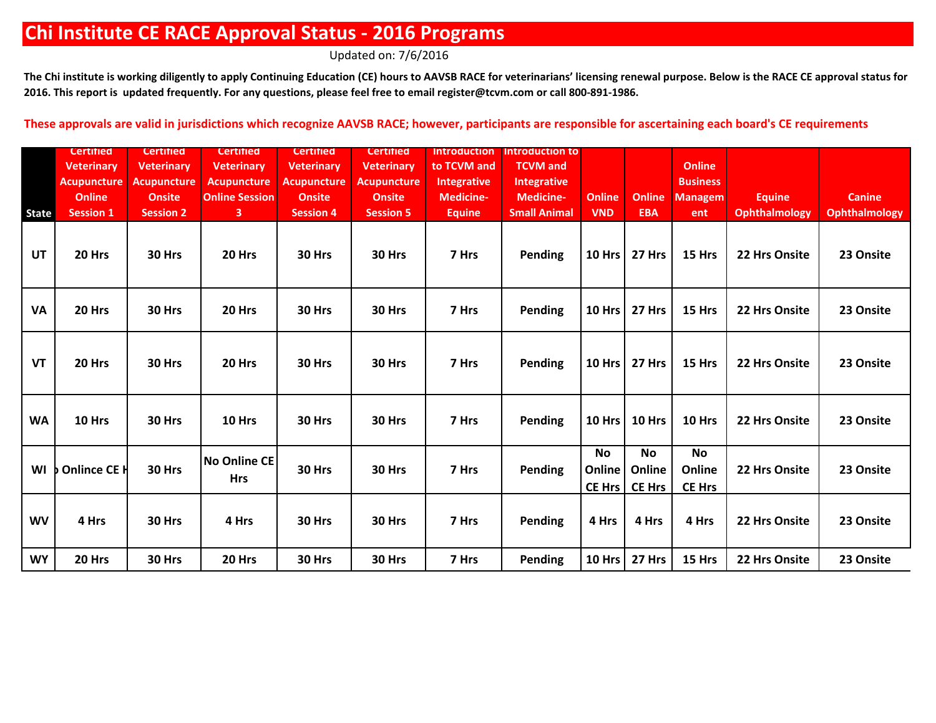Updated on: 7/6/2016

The Chi institute is working diligently to apply Continuing Education (CE) hours to AAVSB RACE for veterinarians' licensing renewal purpose. Below is the RACE CE approval status for **2016. This report is updated frequently. For any questions, please feel free to email register@tcvm.com or call 800-891-1986.**

|              | <b>Certified</b>   | <b>Certified</b>   | <b>Certified</b>                  | <b>Certified</b>   | <b>Certified</b>   | <b>Introduction</b> | Introduction to     |                               |                                      |                                      |                      |                      |
|--------------|--------------------|--------------------|-----------------------------------|--------------------|--------------------|---------------------|---------------------|-------------------------------|--------------------------------------|--------------------------------------|----------------------|----------------------|
|              | <b>Veterinary</b>  | <b>Veterinary</b>  | <b>Veterinary</b>                 | <b>Veterinary</b>  | <b>Veterinary</b>  | to TCVM and         | <b>TCVM</b> and     |                               |                                      | <b>Online</b>                        |                      |                      |
|              | <b>Acupuncture</b> | <b>Acupuncture</b> | <b>Acupuncture</b>                | <b>Acupuncture</b> | <b>Acupuncture</b> | Integrative         | <b>Integrative</b>  |                               |                                      | <b>Business</b>                      |                      |                      |
|              | <b>Online</b>      | <b>Onsite</b>      | <b>Online Session</b>             | <b>Onsite</b>      | <b>Onsite</b>      | <b>Medicine-</b>    | <b>Medicine-</b>    | <b>Online</b>                 | <b>Online</b>                        | <b>Managem</b>                       | <b>Equine</b>        | <b>Canine</b>        |
| <b>State</b> | <b>Session 1</b>   | <b>Session 2</b>   | 3                                 | <b>Session 4</b>   | <b>Session 5</b>   | <b>Equine</b>       | <b>Small Animal</b> | <b>VND</b>                    | <b>EBA</b>                           | ent                                  | <b>Ophthalmology</b> | <b>Ophthalmology</b> |
| <b>UT</b>    | 20 Hrs             | 30 Hrs             | 20 Hrs                            | 30 Hrs             | 30 Hrs             | 7 Hrs               | Pending             | <b>10 Hrs</b>                 | 27 Hrs                               | 15 Hrs                               | 22 Hrs Onsite        | 23 Onsite            |
| <b>VA</b>    | 20 Hrs             | 30 Hrs             | 20 Hrs                            | 30 Hrs             | 30 Hrs             | 7 Hrs               | Pending             | <b>10 Hrs</b>                 | 27 Hrs                               | 15 Hrs                               | 22 Hrs Onsite        | 23 Onsite            |
| <b>VT</b>    | 20 Hrs             | 30 Hrs             | 20 Hrs                            | 30 Hrs             | 30 Hrs             | 7 Hrs               | Pending             | <b>10 Hrs</b>                 | 27 Hrs                               | 15 Hrs                               | 22 Hrs Onsite        | 23 Onsite            |
| <b>WA</b>    | 10 Hrs             | 30 Hrs             | 10 Hrs                            | 30 Hrs             | 30 Hrs             | 7 Hrs               | Pending             | 10 Hrs                        | 10 Hrs                               | 10 Hrs                               | 22 Hrs Onsite        | 23 Onsite            |
| WI           | Onlince CE H       | 30 Hrs             | <b>No Online CE</b><br><b>Hrs</b> | 30 Hrs             | 30 Hrs             | 7 Hrs               | <b>Pending</b>      | <b>No</b><br>Online<br>CE Hrs | <b>No</b><br>Online<br><b>CE Hrs</b> | <b>No</b><br>Online<br><b>CE Hrs</b> | 22 Hrs Onsite        | 23 Onsite            |
| <b>WV</b>    | 4 Hrs              | 30 Hrs             | 4 Hrs                             | 30 Hrs             | 30 Hrs             | 7 Hrs               | Pending             | 4 Hrs                         | 4 Hrs                                | 4 Hrs                                | 22 Hrs Onsite        | 23 Onsite            |
| <b>WY</b>    | 20 Hrs             | 30 Hrs             | 20 Hrs                            | 30 Hrs             | 30 Hrs             | 7 Hrs               | Pending             | <b>10 Hrs</b>                 | 27 Hrs                               | 15 Hrs                               | 22 Hrs Onsite        | 23 Onsite            |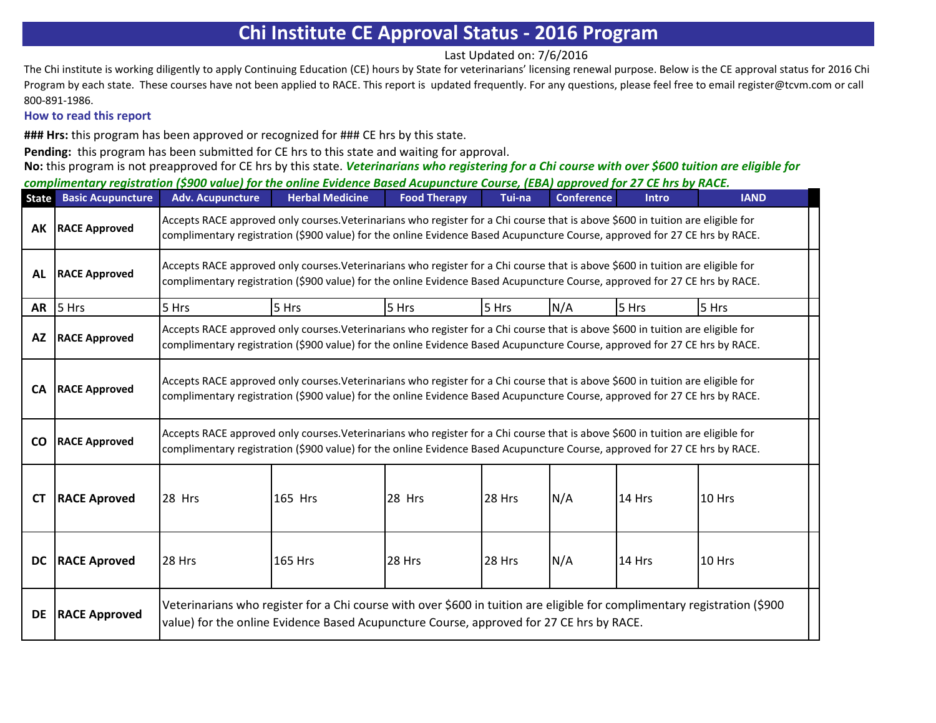Last Updated on: 7/6/2016

The Chi institute is working diligently to apply Continuing Education (CE) hours by State for veterinarians' licensing renewal purpose. Below is the CE approval status for 2016 Chi Program by each state. These courses have not been applied to RACE. This report is updated frequently. For any questions, please feel free to email register@tcvm.com or call 800-891-1986.

## **How to read this report**

**### Hrs:** this program has been approved or recognized for ### CE hrs by this state.

**Pending:** this program has been submitted for CE hrs to this state and waiting for approval.

**No:** this program is not preapproved for CE hrs by this state. *Veterinarians who registering for a Chi course with over \$600 tuition are eligible for* 

*complimentary registration (\$900 value) for the online Evidence Based Acupuncture Course, (EBA) approved for 27 CE hrs by RACE.* 

| <b>State</b> | <b>Basic Acupuncture</b> | <b>Adv. Acupuncture</b>                                                                                                                                                                                               | <b>Herbal Medicine</b>                                                                                                                                                                                                                                        | <b>Food Therapy</b> | Tui-na | <b>Conference</b> | <b>Intro</b> | <b>IAND</b> |  |  |  |  |  |
|--------------|--------------------------|-----------------------------------------------------------------------------------------------------------------------------------------------------------------------------------------------------------------------|---------------------------------------------------------------------------------------------------------------------------------------------------------------------------------------------------------------------------------------------------------------|---------------------|--------|-------------------|--------------|-------------|--|--|--|--|--|
|              | <b>AK</b> RACE Approved  |                                                                                                                                                                                                                       | Accepts RACE approved only courses. Veterinarians who register for a Chi course that is above \$600 in tuition are eligible for<br>complimentary registration (\$900 value) for the online Evidence Based Acupuncture Course, approved for 27 CE hrs by RACE. |                     |        |                   |              |             |  |  |  |  |  |
| AL           | <b>RACE Approved</b>     |                                                                                                                                                                                                                       | Accepts RACE approved only courses. Veterinarians who register for a Chi course that is above \$600 in tuition are eligible for<br>complimentary registration (\$900 value) for the online Evidence Based Acupuncture Course, approved for 27 CE hrs by RACE. |                     |        |                   |              |             |  |  |  |  |  |
|              | $AR$ 5 Hrs               | 5 Hrs                                                                                                                                                                                                                 | 5 Hrs                                                                                                                                                                                                                                                         | 5 Hrs               | 5 Hrs  | N/A               | 5 Hrs        | 5 Hrs       |  |  |  |  |  |
| <b>AZ</b>    | <b>RACE Approved</b>     |                                                                                                                                                                                                                       | Accepts RACE approved only courses. Veterinarians who register for a Chi course that is above \$600 in tuition are eligible for<br>complimentary registration (\$900 value) for the online Evidence Based Acupuncture Course, approved for 27 CE hrs by RACE. |                     |        |                   |              |             |  |  |  |  |  |
| <b>CA</b>    | <b>RACE Approved</b>     |                                                                                                                                                                                                                       | Accepts RACE approved only courses. Veterinarians who register for a Chi course that is above \$600 in tuition are eligible for<br>complimentary registration (\$900 value) for the online Evidence Based Acupuncture Course, approved for 27 CE hrs by RACE. |                     |        |                   |              |             |  |  |  |  |  |
| <b>CO</b>    | <b>RACE Approved</b>     |                                                                                                                                                                                                                       | Accepts RACE approved only courses. Veterinarians who register for a Chi course that is above \$600 in tuition are eligible for<br>complimentary registration (\$900 value) for the online Evidence Based Acupuncture Course, approved for 27 CE hrs by RACE. |                     |        |                   |              |             |  |  |  |  |  |
| <b>CT</b>    | <b>RACE Aproved</b>      | 28 Hrs                                                                                                                                                                                                                | 165 Hrs                                                                                                                                                                                                                                                       | 28 Hrs              | 28 Hrs | N/A               | 14 Hrs       | 10 Hrs      |  |  |  |  |  |
| DC           | <b>RACE Aproved</b>      | 28 Hrs                                                                                                                                                                                                                | <b>165 Hrs</b>                                                                                                                                                                                                                                                | 28 Hrs              | 28 Hrs | N/A               | 14 Hrs       | 10 Hrs      |  |  |  |  |  |
| DE           | <b>RACE Approved</b>     | Veterinarians who register for a Chi course with over \$600 in tuition are eligible for complimentary registration (\$900<br>value) for the online Evidence Based Acupuncture Course, approved for 27 CE hrs by RACE. |                                                                                                                                                                                                                                                               |                     |        |                   |              |             |  |  |  |  |  |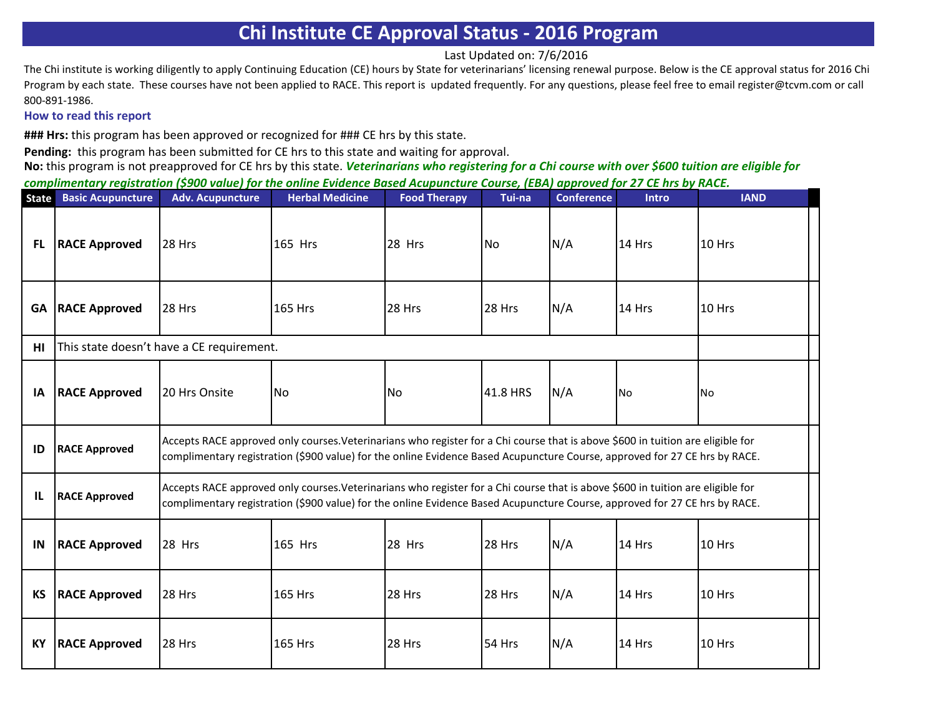Last Updated on: 7/6/2016

The Chi institute is working diligently to apply Continuing Education (CE) hours by State for veterinarians' licensing renewal purpose. Below is the CE approval status for 2016 Chi Program by each state. These courses have not been applied to RACE. This report is updated frequently. For any questions, please feel free to email register@tcvm.com or call 800-891-1986.

#### **How to read this report**

**### Hrs:** this program has been approved or recognized for ### CE hrs by this state.

**Pending:** this program has been submitted for CE hrs to this state and waiting for approval.

| State     | <b>Basic Acupuncture</b> | <b>Adv. Acupuncture</b>                   | <b>Herbal Medicine</b>                                                                                                                                                                                                                                        | <b>Food Therapy</b> | Tui-na    | <b>Conference</b> | <b>Intro</b> | <b>IAND</b> |
|-----------|--------------------------|-------------------------------------------|---------------------------------------------------------------------------------------------------------------------------------------------------------------------------------------------------------------------------------------------------------------|---------------------|-----------|-------------------|--------------|-------------|
| <b>FL</b> | <b>RACE Approved</b>     | 28 Hrs                                    | 165 Hrs                                                                                                                                                                                                                                                       | 28 Hrs              | <b>No</b> | N/A               | 14 Hrs       | 10 Hrs      |
| GA        | <b>RACE Approved</b>     | <b>28 Hrs</b>                             | <b>165 Hrs</b>                                                                                                                                                                                                                                                | 28 Hrs              | 28 Hrs    | N/A               | 14 Hrs       | 10 Hrs      |
| HI        |                          | This state doesn't have a CE requirement. |                                                                                                                                                                                                                                                               |                     |           |                   |              |             |
| ΙA        | <b>RACE Approved</b>     | <b>20 Hrs Onsite</b>                      | No                                                                                                                                                                                                                                                            | <b>No</b>           | 41.8 HRS  | N/A               | <b>No</b>    | lNo.        |
| ID        | <b>RACE Approved</b>     |                                           | Accepts RACE approved only courses. Veterinarians who register for a Chi course that is above \$600 in tuition are eligible for<br>complimentary registration (\$900 value) for the online Evidence Based Acupuncture Course, approved for 27 CE hrs by RACE. |                     |           |                   |              |             |
| IL        | <b>RACE Approved</b>     |                                           | Accepts RACE approved only courses. Veterinarians who register for a Chi course that is above \$600 in tuition are eligible for<br>complimentary registration (\$900 value) for the online Evidence Based Acupuncture Course, approved for 27 CE hrs by RACE. |                     |           |                   |              |             |
| IN        | <b>RACE Approved</b>     | 28 Hrs                                    | 165 Hrs                                                                                                                                                                                                                                                       | 28 Hrs              | 28 Hrs    | N/A               | 14 Hrs       | 10 Hrs      |
| <b>KS</b> | <b>RACE Approved</b>     | 28 Hrs                                    | <b>165 Hrs</b>                                                                                                                                                                                                                                                | 28 Hrs              | 28 Hrs    | N/A               | 14 Hrs       | 10 Hrs      |
| КY        | <b>RACE Approved</b>     | <b>28 Hrs</b>                             | <b>165 Hrs</b>                                                                                                                                                                                                                                                | 28 Hrs              | 54 Hrs    | N/A               | 14 Hrs       | 10 Hrs      |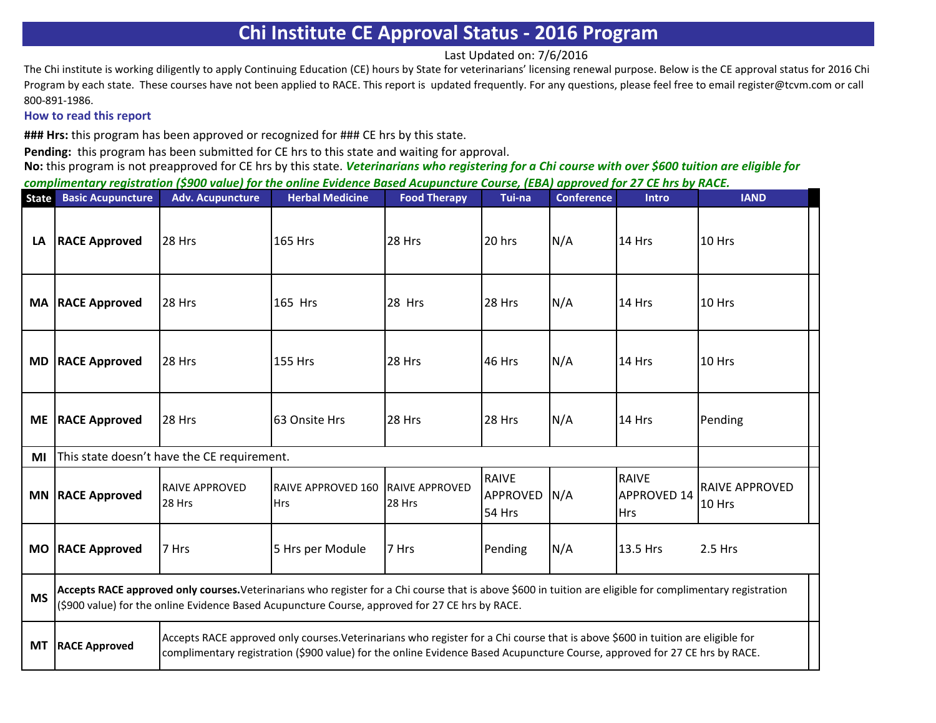Last Updated on: 7/6/2016

The Chi institute is working diligently to apply Continuing Education (CE) hours by State for veterinarians' licensing renewal purpose. Below is the CE approval status for 2016 Chi Program by each state. These courses have not been applied to RACE. This report is updated frequently. For any questions, please feel free to email register@tcvm.com or call 800-891-1986.

## **How to read this report**

**### Hrs:** this program has been approved or recognized for ### CE hrs by this state.

**Pending:** this program has been submitted for CE hrs to this state and waiting for approval.

| <b>State</b> | <b>Basic Acupuncture</b> | <b>Adv. Acupuncture</b>                                                                                                                                                                                                                                       | <b>Herbal Medicine</b>                                                                                                                                                                                                                                        | <b>Food Therapy</b> | Tui-na                                    | <b>Conference</b> | <b>Intro</b>                                     | <b>IAND</b>                     |
|--------------|--------------------------|---------------------------------------------------------------------------------------------------------------------------------------------------------------------------------------------------------------------------------------------------------------|---------------------------------------------------------------------------------------------------------------------------------------------------------------------------------------------------------------------------------------------------------------|---------------------|-------------------------------------------|-------------------|--------------------------------------------------|---------------------------------|
| LA           | <b>RACE Approved</b>     | 28 Hrs                                                                                                                                                                                                                                                        | <b>165 Hrs</b>                                                                                                                                                                                                                                                | <b>28 Hrs</b>       | 20 hrs                                    | N/A               | 14 Hrs                                           | 10 Hrs                          |
|              | <b>MA RACE Approved</b>  | 28 Hrs                                                                                                                                                                                                                                                        | 165 Hrs                                                                                                                                                                                                                                                       | 28 Hrs              | 28 Hrs                                    | N/A               | 14 Hrs                                           | <b>10 Hrs</b>                   |
| <b>MD</b>    | <b>RACE Approved</b>     | 28 Hrs                                                                                                                                                                                                                                                        | <b>155 Hrs</b>                                                                                                                                                                                                                                                | 28 Hrs              | 46 Hrs                                    | N/A               | 14 Hrs                                           | 10 Hrs                          |
|              | ME   RACE Approved       | 28 Hrs                                                                                                                                                                                                                                                        | 63 Onsite Hrs                                                                                                                                                                                                                                                 | <b>28 Hrs</b>       | 28 Hrs                                    | N/A               | $14$ Hrs                                         | Pending                         |
| ΜI           |                          | This state doesn't have the CE requirement.                                                                                                                                                                                                                   |                                                                                                                                                                                                                                                               |                     |                                           |                   |                                                  |                                 |
|              | <b>MN RACE Approved</b>  | <b>RAIVE APPROVED</b><br>28 Hrs                                                                                                                                                                                                                               | RAIVE APPROVED 160 RAIVE APPROVED<br><b>Hrs</b>                                                                                                                                                                                                               | 28 Hrs              | <b>RAIVE</b><br><b>APPROVED</b><br>54 Hrs | N/A               | <b>RAIVE</b><br><b>APPROVED 14</b><br><b>Hrs</b> | <b>RAIVE APPROVED</b><br>10 Hrs |
|              | MO RACE Approved         | 7 Hrs                                                                                                                                                                                                                                                         | 5 Hrs per Module                                                                                                                                                                                                                                              | 7 Hrs               | Pending                                   | N/A               | 13.5 Hrs                                         | $2.5$ Hrs                       |
| <b>MS</b>    |                          |                                                                                                                                                                                                                                                               | Accepts RACE approved only courses. Veterinarians who register for a Chi course that is above \$600 in tuition are eligible for complimentary registration<br>(\$900 value) for the online Evidence Based Acupuncture Course, approved for 27 CE hrs by RACE. |                     |                                           |                   |                                                  |                                 |
| <b>MT</b>    | <b>RACE Approved</b>     | Accepts RACE approved only courses. Veterinarians who register for a Chi course that is above \$600 in tuition are eligible for<br>complimentary registration (\$900 value) for the online Evidence Based Acupuncture Course, approved for 27 CE hrs by RACE. |                                                                                                                                                                                                                                                               |                     |                                           |                   |                                                  |                                 |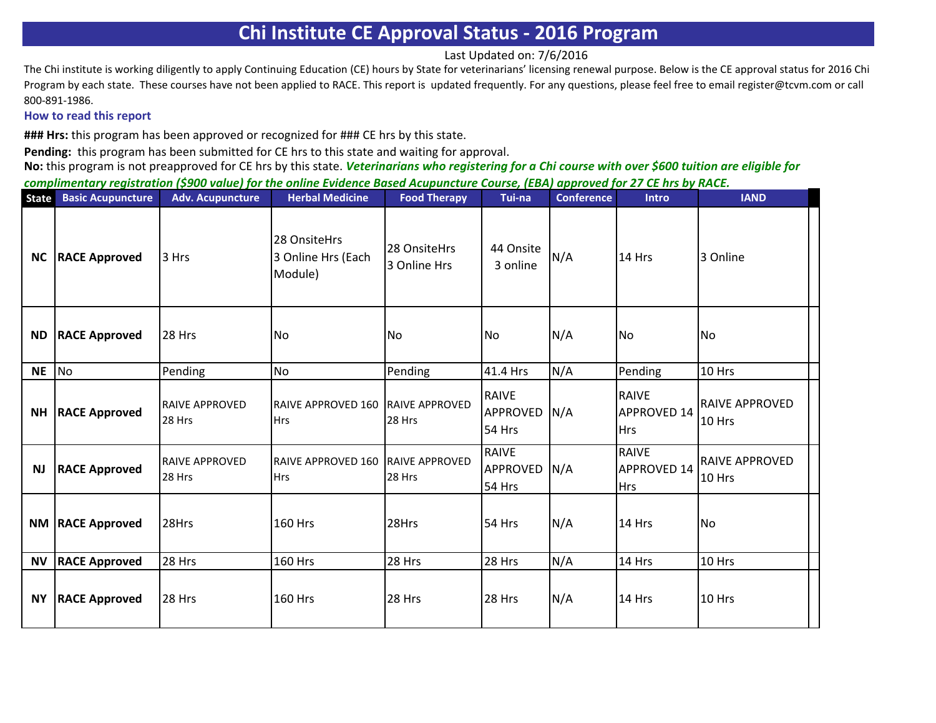Last Updated on: 7/6/2016

The Chi institute is working diligently to apply Continuing Education (CE) hours by State for veterinarians' licensing renewal purpose. Below is the CE approval status for 2016 Chi Program by each state. These courses have not been applied to RACE. This report is updated frequently. For any questions, please feel free to email register@tcvm.com or call 800-891-1986.

### **How to read this report**

**### Hrs:** this program has been approved or recognized for ### CE hrs by this state.

**Pending:** this program has been submitted for CE hrs to this state and waiting for approval.

| <b>State</b> | <b>Basic Acupuncture</b> | <b>Adv. Acupuncture</b>         | <b>Herbal Medicine</b>                        | <b>Food Therapy</b>             | Tui-na                             | <b>Conference</b> | <b>Intro</b>                                     | <b>IAND</b>                     |
|--------------|--------------------------|---------------------------------|-----------------------------------------------|---------------------------------|------------------------------------|-------------------|--------------------------------------------------|---------------------------------|
| <b>NC</b>    | <b>RACE Approved</b>     | 3 Hrs                           | 28 OnsiteHrs<br>3 Online Hrs (Each<br>Module) | 28 OnsiteHrs<br>3 Online Hrs    | 44 Onsite<br>3 online              | N/A               | 14 Hrs                                           | 3 Online                        |
| <b>ND</b>    | <b>RACE Approved</b>     | <b>28 Hrs</b>                   | No                                            | <b>No</b>                       | No.                                | N/A               | <b>No</b>                                        | No.                             |
| <b>NE</b>    | <b>No</b>                | Pending                         | No                                            | Pending                         | 41.4 Hrs                           | N/A               | Pending                                          | 10 Hrs                          |
| <b>NH</b>    | <b>RACE Approved</b>     | <b>RAIVE APPROVED</b><br>28 Hrs | <b>RAIVE APPROVED 160</b><br><b>Hrs</b>       | <b>RAIVE APPROVED</b><br>28 Hrs | <b>RAIVE</b><br>APPROVED<br>54 Hrs | N/A               | <b>RAIVE</b><br><b>APPROVED 14</b><br><b>Hrs</b> | <b>RAIVE APPROVED</b><br>10 Hrs |
| NJ           | <b>RACE Approved</b>     | <b>RAIVE APPROVED</b><br>28 Hrs | <b>RAIVE APPROVED 160</b><br><b>Hrs</b>       | <b>RAIVE APPROVED</b><br>28 Hrs | <b>RAIVE</b><br>APPROVED<br>54 Hrs | N/A               | <b>RAIVE</b><br>APPROVED 14<br><b>Hrs</b>        | <b>RAIVE APPROVED</b><br>10 Hrs |
|              | <b>NM RACE Approved</b>  | 28Hrs                           | <b>160 Hrs</b>                                | 28Hrs                           | 54 Hrs                             | N/A               | 14 Hrs                                           | No.                             |
| <b>NV</b>    | <b>RACE Approved</b>     | 28 Hrs                          | 160 Hrs                                       | 28 Hrs                          | 28 Hrs                             | N/A               | 14 Hrs                                           | 10 Hrs                          |
| <b>NY</b>    | <b>RACE Approved</b>     | <b>28 Hrs</b>                   | <b>160 Hrs</b>                                | 28 Hrs                          | 28 Hrs                             | N/A               | 14 Hrs                                           | <b>10 Hrs</b>                   |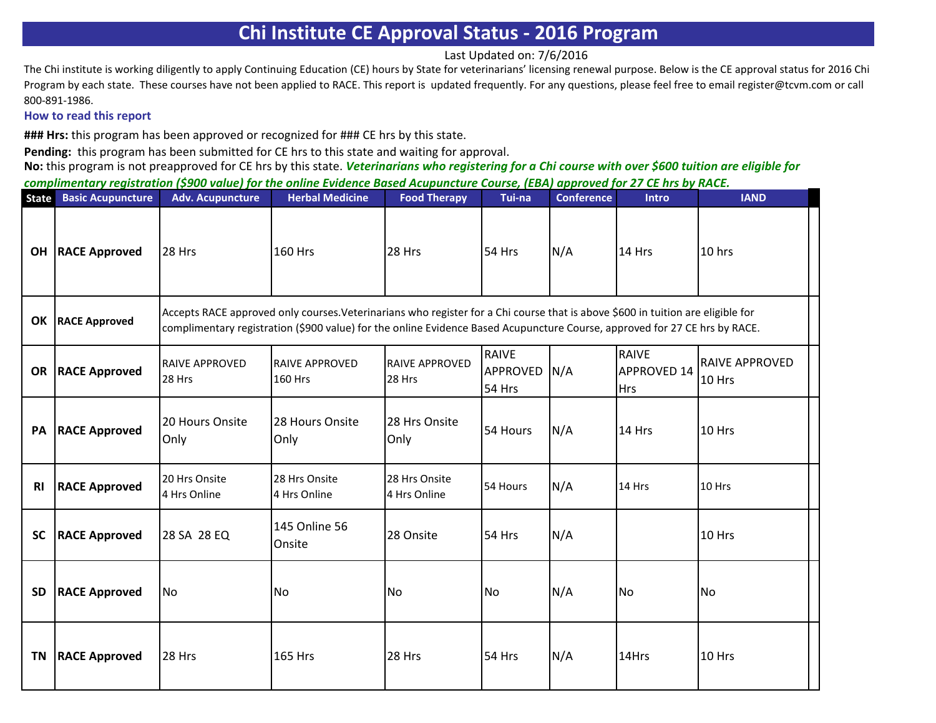Last Updated on: 7/6/2016

The Chi institute is working diligently to apply Continuing Education (CE) hours by State for veterinarians' licensing renewal purpose. Below is the CE approval status for 2016 Chi Program by each state. These courses have not been applied to RACE. This report is updated frequently. For any questions, please feel free to email register@tcvm.com or call 800-891-1986.

#### **How to read this report**

**### Hrs:** this program has been approved or recognized for ### CE hrs by this state.

**Pending:** this program has been submitted for CE hrs to this state and waiting for approval.

| <b>State</b> | <b>Basic Acupuncture</b>  | <b>Adv. Acupuncture</b>         | <b>Herbal Medicine</b>                                                                                                                                                                                                                                        | <b>Food Therapy</b>             | Tui-na                             | <b>Conference</b> | Intro                                            | <b>IAND</b>              |
|--------------|---------------------------|---------------------------------|---------------------------------------------------------------------------------------------------------------------------------------------------------------------------------------------------------------------------------------------------------------|---------------------------------|------------------------------------|-------------------|--------------------------------------------------|--------------------------|
|              | <b>OH   RACE Approved</b> | <b>28 Hrs</b>                   | <b>160 Hrs</b>                                                                                                                                                                                                                                                | 28 Hrs                          | 54 Hrs                             | N/A               | 14 Hrs                                           | 10 hrs                   |
|              | OK   RACE Approved        |                                 | Accepts RACE approved only courses. Veterinarians who register for a Chi course that is above \$600 in tuition are eligible for<br>complimentary registration (\$900 value) for the online Evidence Based Acupuncture Course, approved for 27 CE hrs by RACE. |                                 |                                    |                   |                                                  |                          |
|              | <b>OR RACE Approved</b>   | <b>RAIVE APPROVED</b><br>28 Hrs | <b>RAIVE APPROVED</b><br><b>160 Hrs</b>                                                                                                                                                                                                                       | <b>RAIVE APPROVED</b><br>28 Hrs | <b>RAIVE</b><br>APPROVED<br>54 Hrs | N/A               | <b>RAIVE</b><br><b>APPROVED 14</b><br><b>Hrs</b> | RAIVE APPROVED<br>10 Hrs |
| PA           | <b>RACE Approved</b>      | 20 Hours Onsite<br>Only         | 28 Hours Onsite<br>Only                                                                                                                                                                                                                                       | 28 Hrs Onsite<br>Only           | 54 Hours                           | N/A               | 14 Hrs                                           | 10 Hrs                   |
| <b>RI</b>    | <b>RACE Approved</b>      | 20 Hrs Onsite<br>4 Hrs Online   | 28 Hrs Onsite<br>4 Hrs Online                                                                                                                                                                                                                                 | 28 Hrs Onsite<br>4 Hrs Online   | 54 Hours                           | N/A               | 14 Hrs                                           | 10 Hrs                   |
| <b>SC</b>    | <b>RACE Approved</b>      | 28 SA 28 EQ                     | 145 Online 56<br>Onsite                                                                                                                                                                                                                                       | 28 Onsite                       | 54 Hrs                             | N/A               |                                                  | 10 Hrs                   |
| <b>SD</b>    | <b>RACE Approved</b>      | <b>No</b>                       | No                                                                                                                                                                                                                                                            | <b>No</b>                       | <b>No</b>                          | N/A               | <b>No</b>                                        | <b>No</b>                |
| ΤN           | <b>RACE Approved</b>      | <b>28 Hrs</b>                   | <b>165 Hrs</b>                                                                                                                                                                                                                                                | 28 Hrs                          | 54 Hrs                             | N/A               | 14Hrs                                            | 10 Hrs                   |